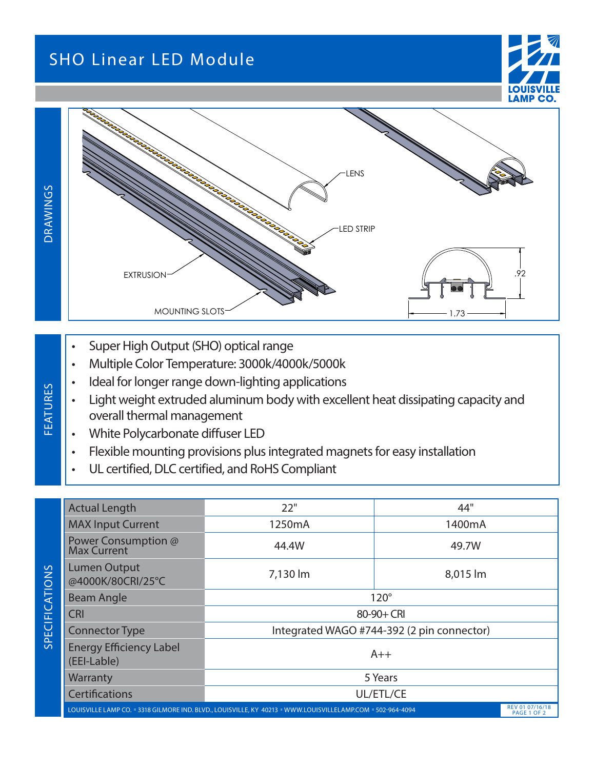## SHO Linear LED Module





- Super High Output (SHO) optical range
- Multiple Color Temperature: 3000k/4000k/5000k
- Ideal for longer range down-lighting applications
- Light weight extruded aluminum body with excellent heat dissipating capacity and overall thermal management
- White Polycarbonate diffuser LED

**FEATURES** 

- Flexible mounting provisions plus integrated magnets for easy installation
- UL certified, DLC certified, and RoHS Compliant

| DRAWINGS                        |                                                                                                                                                                                                                                                                                                                                                                                                                                                                                                                               | ARABANDER PORT<br>LED STRIP                |          |     |  |  |  |  |  |  |  |  |
|---------------------------------|-------------------------------------------------------------------------------------------------------------------------------------------------------------------------------------------------------------------------------------------------------------------------------------------------------------------------------------------------------------------------------------------------------------------------------------------------------------------------------------------------------------------------------|--------------------------------------------|----------|-----|--|--|--|--|--|--|--|--|
|                                 | <b>EXTRUSION</b><br><b>MOUNTING SLOTS</b>                                                                                                                                                                                                                                                                                                                                                                                                                                                                                     |                                            | .73      | .92 |  |  |  |  |  |  |  |  |
| <b>FEATURES</b>                 | Super High Output (SHO) optical range<br>$\bullet$<br>Multiple Color Temperature: 3000k/4000k/5000k<br>$\bullet$<br>Ideal for longer range down-lighting applications<br>$\bullet$<br>Light weight extruded aluminum body with excellent heat dissipating capacity and<br>$\bullet$<br>overall thermal management<br>White Polycarbonate diffuser LED<br>$\bullet$<br>Flexible mounting provisions plus integrated magnets for easy installation<br>$\bullet$<br>UL certified, DLC certified, and RoHS Compliant<br>$\bullet$ |                                            |          |     |  |  |  |  |  |  |  |  |
|                                 | <b>Actual Length</b>                                                                                                                                                                                                                                                                                                                                                                                                                                                                                                          | 22"                                        | 44"      |     |  |  |  |  |  |  |  |  |
| <b>FICATIONS</b><br><b>SPEC</b> | <b>MAX Input Current</b>                                                                                                                                                                                                                                                                                                                                                                                                                                                                                                      | 1250mA                                     | 1400mA   |     |  |  |  |  |  |  |  |  |
|                                 | Power Consumption @<br>Max Current                                                                                                                                                                                                                                                                                                                                                                                                                                                                                            | 44.4W                                      | 49.7W    |     |  |  |  |  |  |  |  |  |
|                                 | <b>Lumen Output</b><br>@4000K/80CRI/25°C                                                                                                                                                                                                                                                                                                                                                                                                                                                                                      | 7,130 lm                                   | 8,015 lm |     |  |  |  |  |  |  |  |  |
|                                 | <b>Beam Angle</b>                                                                                                                                                                                                                                                                                                                                                                                                                                                                                                             | $120^\circ$                                |          |     |  |  |  |  |  |  |  |  |
|                                 | <b>CRI</b>                                                                                                                                                                                                                                                                                                                                                                                                                                                                                                                    | 80-90+ CRI                                 |          |     |  |  |  |  |  |  |  |  |
|                                 | <b>Connector Type</b>                                                                                                                                                                                                                                                                                                                                                                                                                                                                                                         | Integrated WAGO #744-392 (2 pin connector) |          |     |  |  |  |  |  |  |  |  |
|                                 | <b>Energy Efficiency Label</b><br>(EEI-Lable)                                                                                                                                                                                                                                                                                                                                                                                                                                                                                 | $A++$                                      |          |     |  |  |  |  |  |  |  |  |
|                                 | Warranty                                                                                                                                                                                                                                                                                                                                                                                                                                                                                                                      |                                            | 5 Years  |     |  |  |  |  |  |  |  |  |
|                                 | Certifications                                                                                                                                                                                                                                                                                                                                                                                                                                                                                                                | UL/ETL/CE                                  |          |     |  |  |  |  |  |  |  |  |
|                                 | REV 01 07/16/18<br>LOUISVILLE LAMP CO. 3318 GILMORE IND. BLVD., LOUISVILLE, KY 40213 WWW.LOUISVILLELAMP.COM 502-964-4094<br>PAGE 1 OF 2                                                                                                                                                                                                                                                                                                                                                                                       |                                            |          |     |  |  |  |  |  |  |  |  |